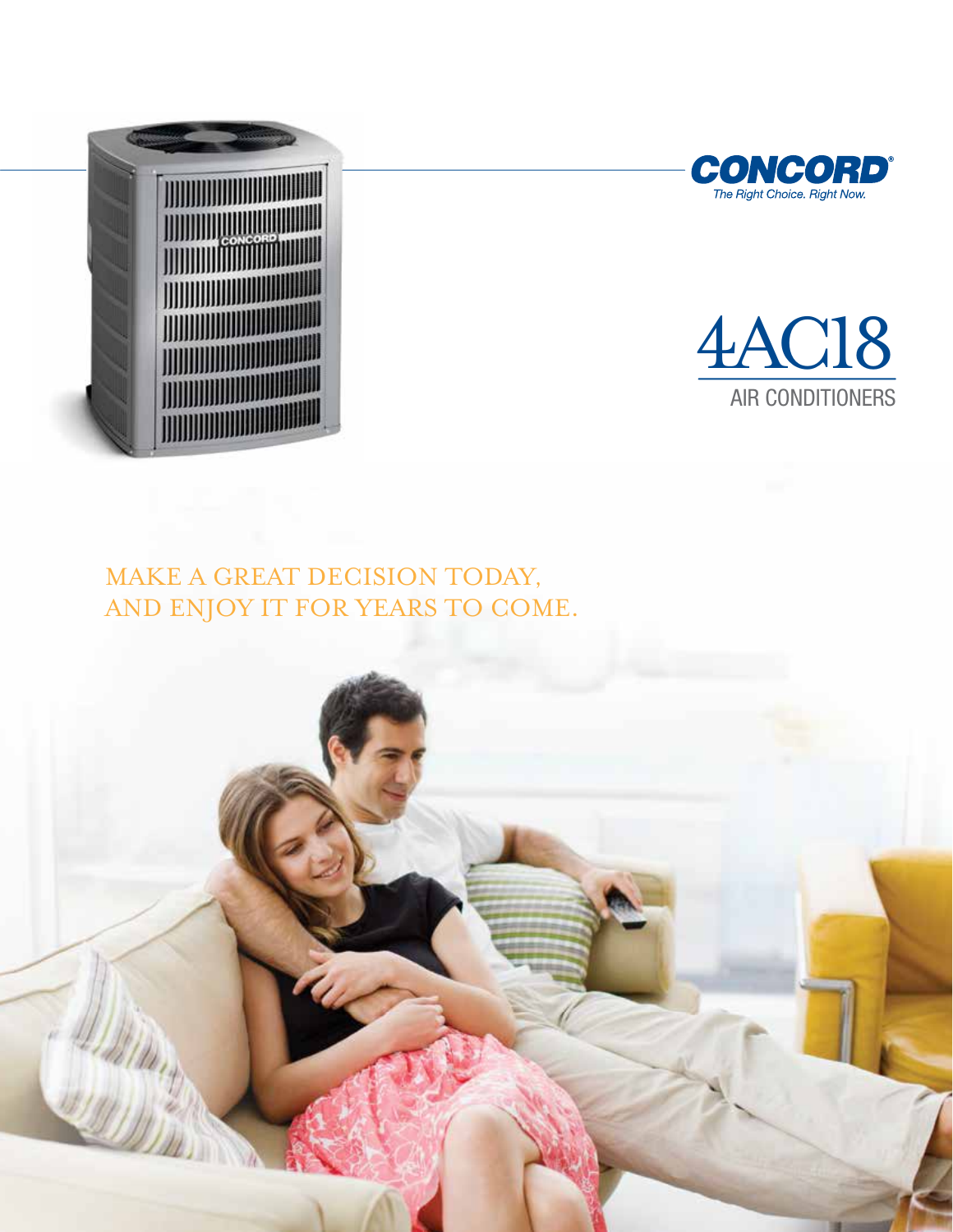





## MAKE A GREAT DECISION TODAY, AND ENJOY IT FOR YEARS TO COME.

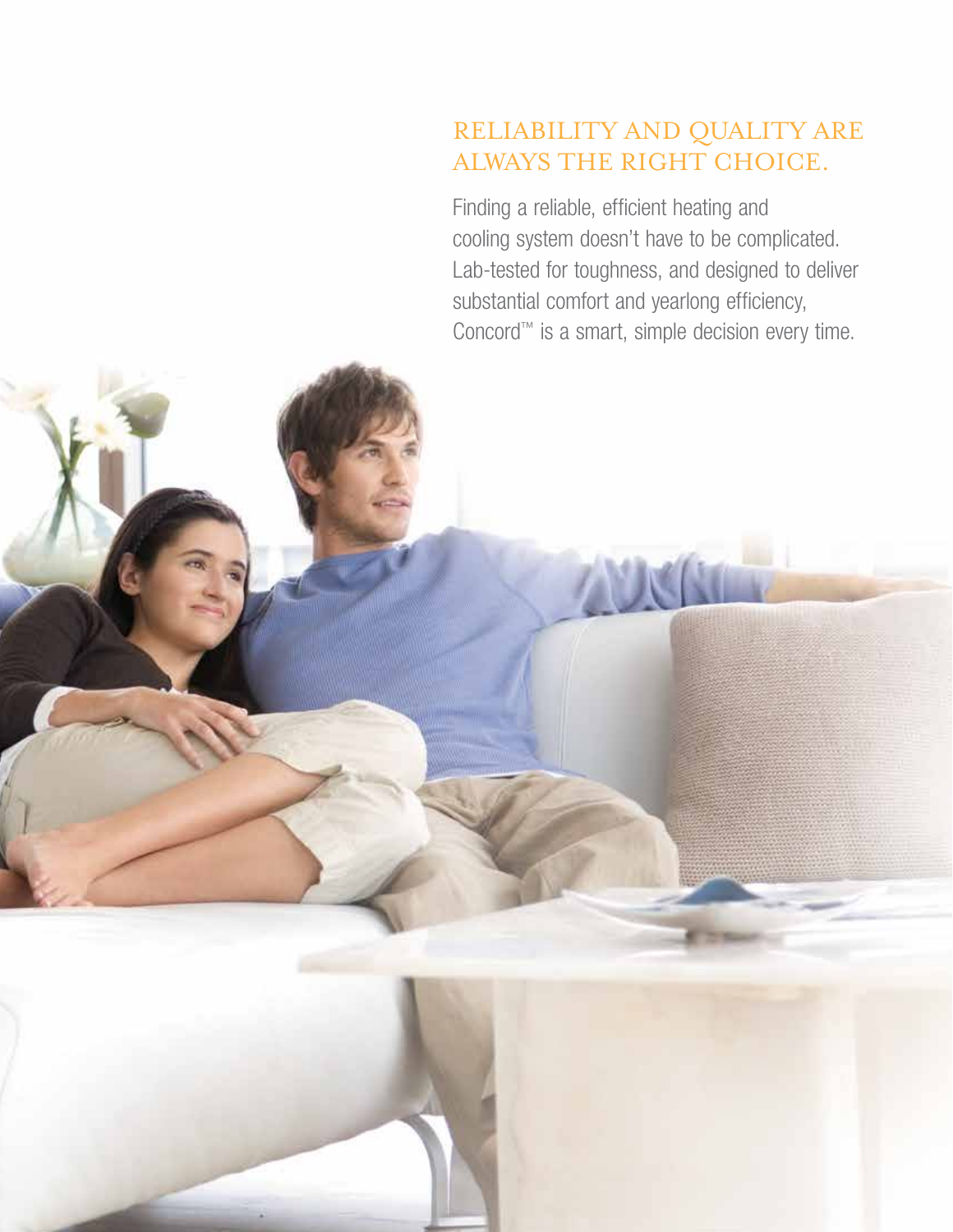# RELIABILITY AND QUALITY ARE ALWAYS THE RIGHT CHOICE.

Finding a reliable, efficient heating and cooling system doesn't have to be complicated. Lab-tested for toughness, and designed to deliver substantial comfort and yearlong efficiency, Concord™ is a smart, simple decision every time.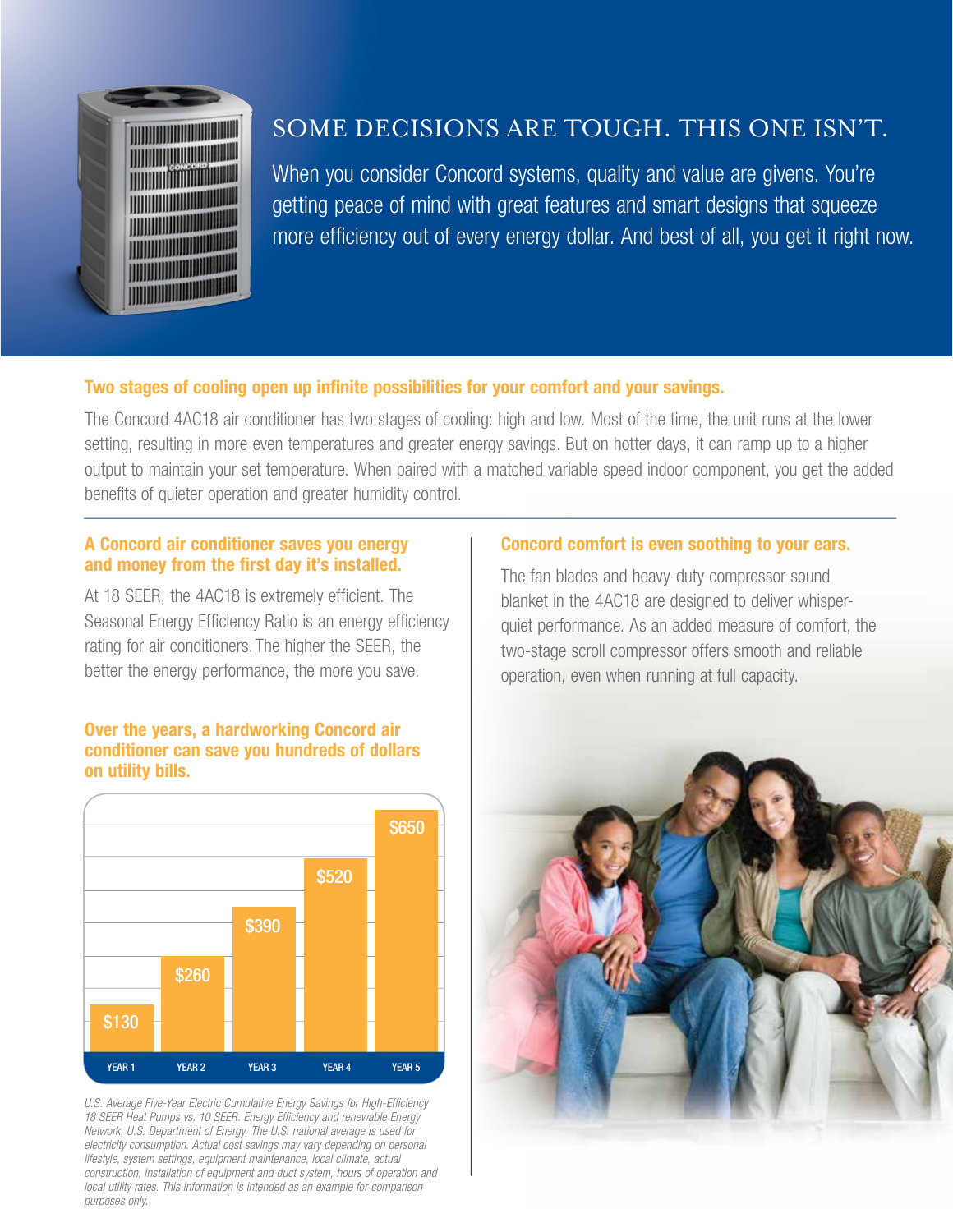

## SOME DECISIONS ARE TOUGH. THIS ONE ISN'T.

When you consider Concord systems, quality and value are givens. You're getting peace of mind with great features and smart designs that squeeze more efficiency out of every energy dollar. And best of all, you get it right now.

### Two stages of cooling open up infinite possibilities for your comfort and your savings.

The Concord 4AC18 air conditioner has two stages of cooling: high and low. Most of the time, the unit runs at the lower setting, resulting in more even temperatures and greater energy savings. But on hotter days, it can ramp up to a higher output to maintain your set temperature. When paired with a matched variable speed indoor component, you get the added benefits of quieter operation and greater humidity control.

#### A Concord air conditioner saves you energy and money from the first day it's installed.

At 18 SEER, the 4AC18 is extremely efficient. The Seasonal Energy Efficiency Ratio is an energy efficiency rating for air conditioners. The higher the SEER, the better the energy performance, the more you save.

#### Over the years, a hardworking Concord air conditioner can save you hundreds of dollars on utility bills.



*U.S. Average Five-Year Electric Cumulative Energy Savings for High-Efficiency 18 SEER Heat Pumps vs. 10 SEER. Energy Efficiency and renewable Energy Network, U.S. Department of Energy. The U.S. national average is used for electricity consumption. Actual cost savings may vary depending on personal lifestyle, system settings, equipment maintenance, local climate, actual construction, installation of equipment and duct system, hours of operation and local utility rates. This information is intended as an example for comparison purposes only.*

#### Concord comfort is even soothing to your ears.

The fan blades and heavy-duty compressor sound blanket in the 4AC18 are designed to deliver whisperquiet performance. As an added measure of comfort, the two-stage scroll compressor offers smooth and reliable operation, even when running at full capacity.